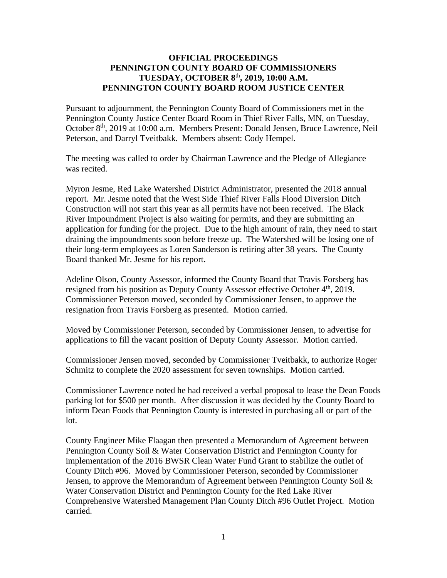## **OFFICIAL PROCEEDINGS PENNINGTON COUNTY BOARD OF COMMISSIONERS TUESDAY, OCTOBER 8** th **, 2019, 10:00 A.M. PENNINGTON COUNTY BOARD ROOM JUSTICE CENTER**

Pursuant to adjournment, the Pennington County Board of Commissioners met in the Pennington County Justice Center Board Room in Thief River Falls, MN, on Tuesday, October 8<sup>th</sup>, 2019 at 10:00 a.m. Members Present: Donald Jensen, Bruce Lawrence, Neil Peterson, and Darryl Tveitbakk. Members absent: Cody Hempel.

The meeting was called to order by Chairman Lawrence and the Pledge of Allegiance was recited.

Myron Jesme, Red Lake Watershed District Administrator, presented the 2018 annual report. Mr. Jesme noted that the West Side Thief River Falls Flood Diversion Ditch Construction will not start this year as all permits have not been received. The Black River Impoundment Project is also waiting for permits, and they are submitting an application for funding for the project. Due to the high amount of rain, they need to start draining the impoundments soon before freeze up. The Watershed will be losing one of their long-term employees as Loren Sanderson is retiring after 38 years. The County Board thanked Mr. Jesme for his report.

Adeline Olson, County Assessor, informed the County Board that Travis Forsberg has resigned from his position as Deputy County Assessor effective October 4<sup>th</sup>, 2019. Commissioner Peterson moved, seconded by Commissioner Jensen, to approve the resignation from Travis Forsberg as presented. Motion carried.

Moved by Commissioner Peterson, seconded by Commissioner Jensen, to advertise for applications to fill the vacant position of Deputy County Assessor. Motion carried.

Commissioner Jensen moved, seconded by Commissioner Tveitbakk, to authorize Roger Schmitz to complete the 2020 assessment for seven townships. Motion carried.

Commissioner Lawrence noted he had received a verbal proposal to lease the Dean Foods parking lot for \$500 per month. After discussion it was decided by the County Board to inform Dean Foods that Pennington County is interested in purchasing all or part of the lot.

County Engineer Mike Flaagan then presented a Memorandum of Agreement between Pennington County Soil & Water Conservation District and Pennington County for implementation of the 2016 BWSR Clean Water Fund Grant to stabilize the outlet of County Ditch #96. Moved by Commissioner Peterson, seconded by Commissioner Jensen, to approve the Memorandum of Agreement between Pennington County Soil  $\&$ Water Conservation District and Pennington County for the Red Lake River Comprehensive Watershed Management Plan County Ditch #96 Outlet Project. Motion carried.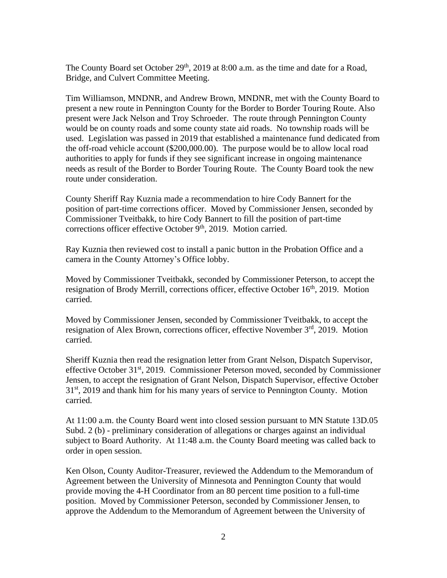The County Board set October  $29<sup>th</sup>$ , 2019 at 8:00 a.m. as the time and date for a Road, Bridge, and Culvert Committee Meeting.

Tim Williamson, MNDNR, and Andrew Brown, MNDNR, met with the County Board to present a new route in Pennington County for the Border to Border Touring Route. Also present were Jack Nelson and Troy Schroeder. The route through Pennington County would be on county roads and some county state aid roads. No township roads will be used. Legislation was passed in 2019 that established a maintenance fund dedicated from the off-road vehicle account (\$200,000.00). The purpose would be to allow local road authorities to apply for funds if they see significant increase in ongoing maintenance needs as result of the Border to Border Touring Route. The County Board took the new route under consideration.

County Sheriff Ray Kuznia made a recommendation to hire Cody Bannert for the position of part-time corrections officer. Moved by Commissioner Jensen, seconded by Commissioner Tveitbakk, to hire Cody Bannert to fill the position of part-time corrections officer effective October 9<sup>th</sup>, 2019. Motion carried.

Ray Kuznia then reviewed cost to install a panic button in the Probation Office and a camera in the County Attorney's Office lobby.

Moved by Commissioner Tveitbakk, seconded by Commissioner Peterson, to accept the resignation of Brody Merrill, corrections officer, effective October 16<sup>th</sup>, 2019. Motion carried.

Moved by Commissioner Jensen, seconded by Commissioner Tveitbakk, to accept the resignation of Alex Brown, corrections officer, effective November  $3<sup>rd</sup>$ , 2019. Motion carried.

Sheriff Kuznia then read the resignation letter from Grant Nelson, Dispatch Supervisor, effective October 31st, 2019. Commissioner Peterson moved, seconded by Commissioner Jensen, to accept the resignation of Grant Nelson, Dispatch Supervisor, effective October 31<sup>st</sup>, 2019 and thank him for his many years of service to Pennington County. Motion carried.

At 11:00 a.m. the County Board went into closed session pursuant to MN Statute 13D.05 Subd. 2 (b) - preliminary consideration of allegations or charges against an individual subject to Board Authority. At 11:48 a.m. the County Board meeting was called back to order in open session.

Ken Olson, County Auditor-Treasurer, reviewed the Addendum to the Memorandum of Agreement between the University of Minnesota and Pennington County that would provide moving the 4-H Coordinator from an 80 percent time position to a full-time position. Moved by Commissioner Peterson, seconded by Commissioner Jensen, to approve the Addendum to the Memorandum of Agreement between the University of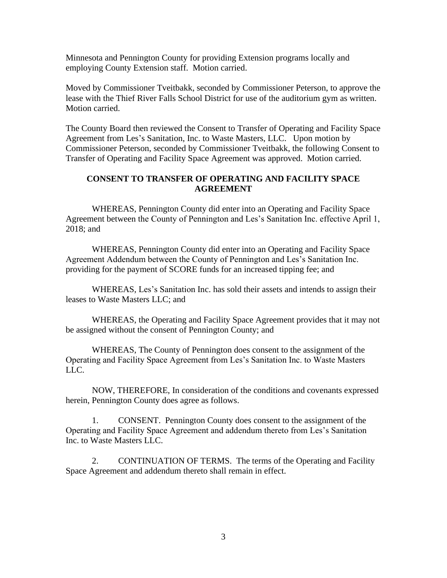Minnesota and Pennington County for providing Extension programs locally and employing County Extension staff. Motion carried.

Moved by Commissioner Tveitbakk, seconded by Commissioner Peterson, to approve the lease with the Thief River Falls School District for use of the auditorium gym as written. Motion carried.

The County Board then reviewed the Consent to Transfer of Operating and Facility Space Agreement from Les's Sanitation, Inc. to Waste Masters, LLC. Upon motion by Commissioner Peterson, seconded by Commissioner Tveitbakk, the following Consent to Transfer of Operating and Facility Space Agreement was approved. Motion carried.

## **CONSENT TO TRANSFER OF OPERATING AND FACILITY SPACE AGREEMENT**

WHEREAS, Pennington County did enter into an Operating and Facility Space Agreement between the County of Pennington and Les's Sanitation Inc. effective April 1, 2018; and

WHEREAS, Pennington County did enter into an Operating and Facility Space Agreement Addendum between the County of Pennington and Les's Sanitation Inc. providing for the payment of SCORE funds for an increased tipping fee; and

WHEREAS, Les's Sanitation Inc. has sold their assets and intends to assign their leases to Waste Masters LLC; and

WHEREAS, the Operating and Facility Space Agreement provides that it may not be assigned without the consent of Pennington County; and

WHEREAS, The County of Pennington does consent to the assignment of the Operating and Facility Space Agreement from Les's Sanitation Inc. to Waste Masters LLC.

NOW, THEREFORE, In consideration of the conditions and covenants expressed herein, Pennington County does agree as follows.

1. CONSENT. Pennington County does consent to the assignment of the Operating and Facility Space Agreement and addendum thereto from Les's Sanitation Inc. to Waste Masters LLC.

2. CONTINUATION OF TERMS. The terms of the Operating and Facility Space Agreement and addendum thereto shall remain in effect.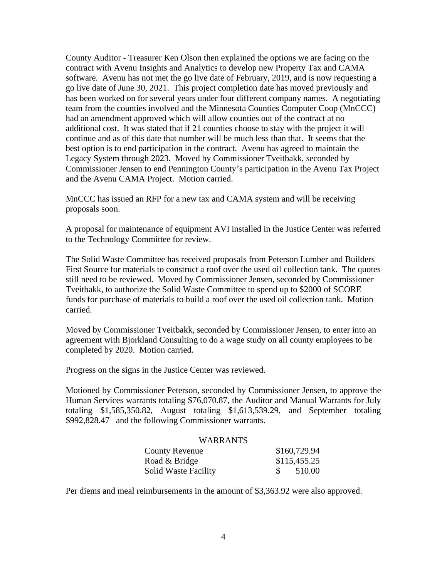County Auditor - Treasurer Ken Olson then explained the options we are facing on the contract with Avenu Insights and Analytics to develop new Property Tax and CAMA software. Avenu has not met the go live date of February, 2019, and is now requesting a go live date of June 30, 2021. This project completion date has moved previously and has been worked on for several years under four different company names. A negotiating team from the counties involved and the Minnesota Counties Computer Coop (MnCCC) had an amendment approved which will allow counties out of the contract at no additional cost. It was stated that if 21 counties choose to stay with the project it will continue and as of this date that number will be much less than that. It seems that the best option is to end participation in the contract. Avenu has agreed to maintain the Legacy System through 2023. Moved by Commissioner Tveitbakk, seconded by Commissioner Jensen to end Pennington County's participation in the Avenu Tax Project and the Avenu CAMA Project. Motion carried.

MnCCC has issued an RFP for a new tax and CAMA system and will be receiving proposals soon.

A proposal for maintenance of equipment AVI installed in the Justice Center was referred to the Technology Committee for review.

The Solid Waste Committee has received proposals from Peterson Lumber and Builders First Source for materials to construct a roof over the used oil collection tank. The quotes still need to be reviewed. Moved by Commissioner Jensen, seconded by Commissioner Tveitbakk, to authorize the Solid Waste Committee to spend up to \$2000 of SCORE funds for purchase of materials to build a roof over the used oil collection tank. Motion carried.

Moved by Commissioner Tveitbakk, seconded by Commissioner Jensen, to enter into an agreement with Bjorkland Consulting to do a wage study on all county employees to be completed by 2020. Motion carried.

Progress on the signs in the Justice Center was reviewed.

Motioned by Commissioner Peterson, seconded by Commissioner Jensen, to approve the Human Services warrants totaling \$76,070.87, the Auditor and Manual Warrants for July totaling \$1,585,350.82, August totaling \$1,613,539.29, and September totaling \$992,828.47 and the following Commissioner warrants.

## WARRANTS

| <b>County Revenue</b>       | \$160,729.94 |
|-----------------------------|--------------|
| Road & Bridge               | \$115,455.25 |
| <b>Solid Waste Facility</b> | 510.00       |

Per diems and meal reimbursements in the amount of \$3,363.92 were also approved.